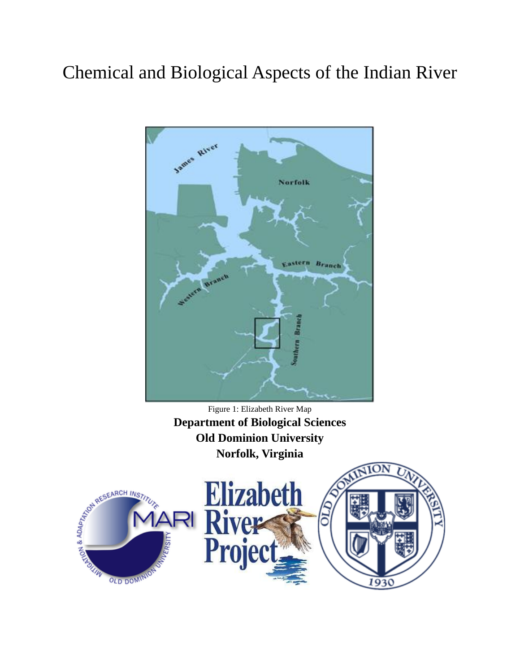# Chemical and Biological Aspects of the Indian River



Figure 1: Elizabeth River Map **Department of Biological Sciences Old Dominion University Norfolk, Virginia**

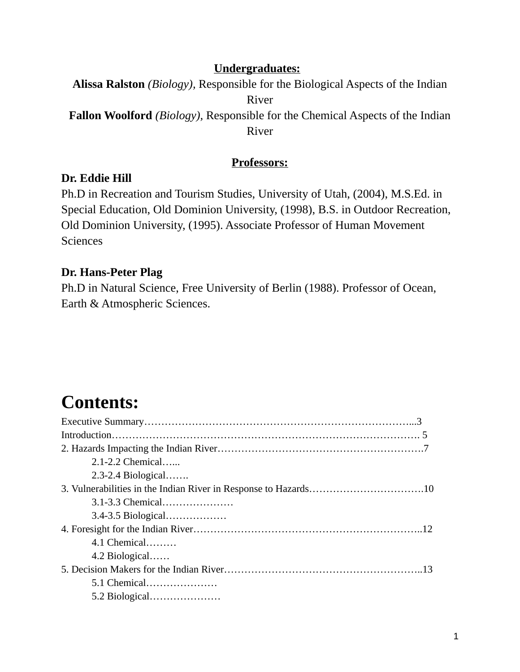# **Undergraduates:**

**Alissa Ralston** *(Biology),* Responsible for the Biological Aspects of the Indian River **Fallon Woolford** *(Biology),* Responsible for the Chemical Aspects of the Indian

River

# **Professors:**

# **Dr. Eddie Hill**

Ph.D in Recreation and Tourism Studies, University of Utah, (2004), M.S.Ed. in Special Education, Old Dominion University, (1998), B.S. in Outdoor Recreation, Old Dominion University, (1995). Associate Professor of Human Movement **Sciences** 

# **Dr. Hans-Peter Plag**

Ph.D in Natural Science, Free University of Berlin (1988). Professor of Ocean, Earth & Atmospheric Sciences.

# **Contents:**

| $2.1 - 2.2$ Chemical   |
|------------------------|
| $2.3 - 2.4$ Biological |
|                        |
| 3.1-3.3 Chemical       |
| 3.4-3.5 Biological     |
|                        |
| $4.1$ Chemical         |
| 4.2 Biological         |
|                        |
| 5.1 Chemical           |
| 5.2 Biological         |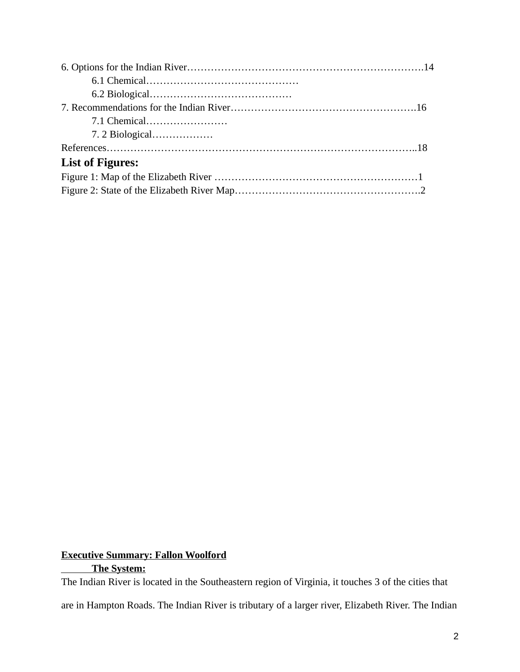| 7. 2 Biological         |  |
|-------------------------|--|
|                         |  |
| <b>List of Figures:</b> |  |
|                         |  |
|                         |  |

# **Executive Summary: Fallon Woolford The System:**

The Indian River is located in the Southeastern region of Virginia, it touches 3 of the cities that

are in Hampton Roads. The Indian River is tributary of a larger river, Elizabeth River. The Indian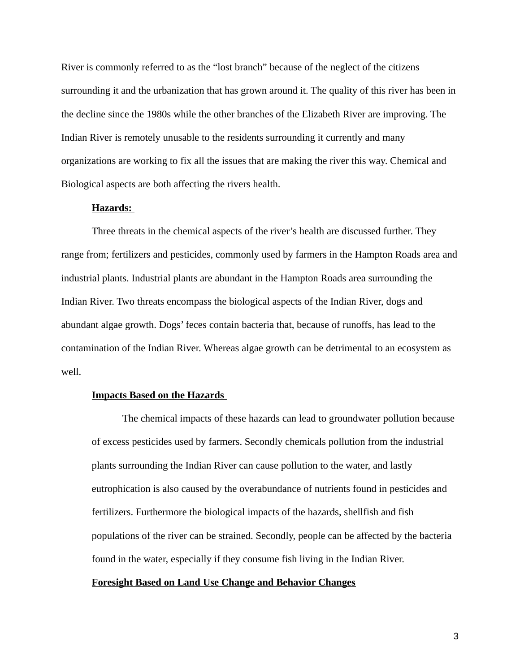River is commonly referred to as the "lost branch" because of the neglect of the citizens surrounding it and the urbanization that has grown around it. The quality of this river has been in the decline since the 1980s while the other branches of the Elizabeth River are improving. The Indian River is remotely unusable to the residents surrounding it currently and many organizations are working to fix all the issues that are making the river this way. Chemical and Biological aspects are both affecting the rivers health.

## **Hazards:**

Three threats in the chemical aspects of the river's health are discussed further. They range from; fertilizers and pesticides, commonly used by farmers in the Hampton Roads area and industrial plants. Industrial plants are abundant in the Hampton Roads area surrounding the Indian River. Two threats encompass the biological aspects of the Indian River, dogs and abundant algae growth. Dogs' feces contain bacteria that, because of runoffs, has lead to the contamination of the Indian River. Whereas algae growth can be detrimental to an ecosystem as well.

#### **Impacts Based on the Hazards**

The chemical impacts of these hazards can lead to groundwater pollution because of excess pesticides used by farmers. Secondly chemicals pollution from the industrial plants surrounding the Indian River can cause pollution to the water, and lastly eutrophication is also caused by the overabundance of nutrients found in pesticides and fertilizers. Furthermore the biological impacts of the hazards, shellfish and fish populations of the river can be strained. Secondly, people can be affected by the bacteria found in the water, especially if they consume fish living in the Indian River.

## **Foresight Based on Land Use Change and Behavior Changes**

3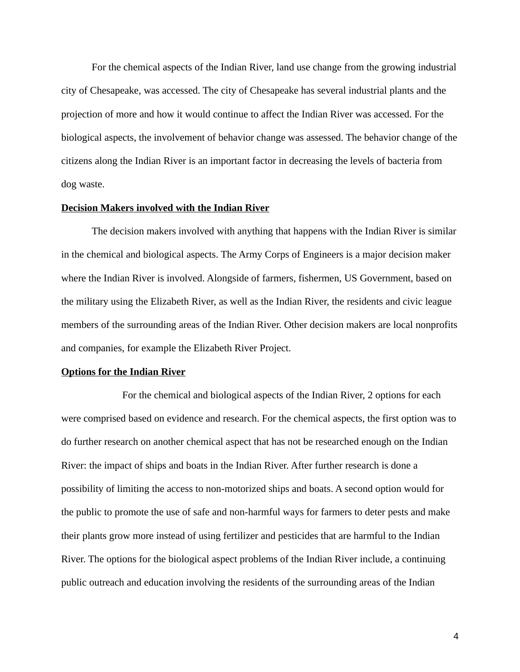For the chemical aspects of the Indian River, land use change from the growing industrial city of Chesapeake, was accessed. The city of Chesapeake has several industrial plants and the projection of more and how it would continue to affect the Indian River was accessed. For the biological aspects, the involvement of behavior change was assessed. The behavior change of the citizens along the Indian River is an important factor in decreasing the levels of bacteria from dog waste.

## **Decision Makers involved with the Indian River**

The decision makers involved with anything that happens with the Indian River is similar in the chemical and biological aspects. The Army Corps of Engineers is a major decision maker where the Indian River is involved. Alongside of farmers, fishermen, US Government, based on the military using the Elizabeth River, as well as the Indian River, the residents and civic league members of the surrounding areas of the Indian River. Other decision makers are local nonprofits and companies, for example the Elizabeth River Project.

#### **Options for the Indian River**

For the chemical and biological aspects of the Indian River, 2 options for each were comprised based on evidence and research. For the chemical aspects, the first option was to do further research on another chemical aspect that has not be researched enough on the Indian River: the impact of ships and boats in the Indian River. After further research is done a possibility of limiting the access to non-motorized ships and boats. A second option would for the public to promote the use of safe and non-harmful ways for farmers to deter pests and make their plants grow more instead of using fertilizer and pesticides that are harmful to the Indian River. The options for the biological aspect problems of the Indian River include, a continuing public outreach and education involving the residents of the surrounding areas of the Indian

4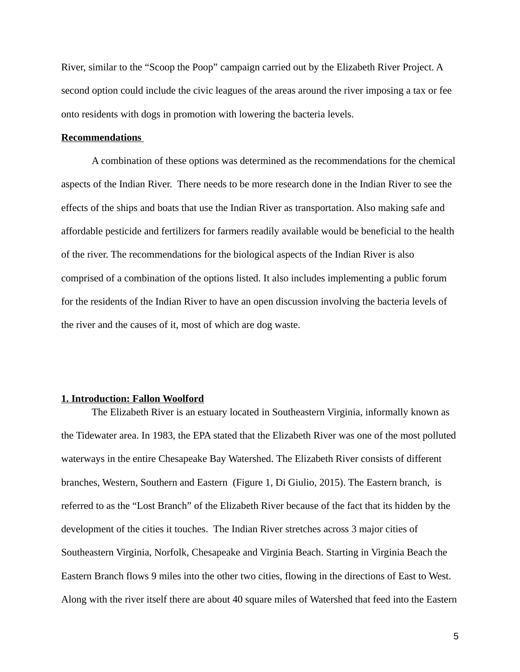River, similar to the "Scoop the Poop" campaign carried out by the Elizabeth River Project. A second option could include the civic leagues of the areas around the river imposing a tax or fee onto residents with dogs in promotion with lowering the bacteria levels.

## **Recommendations**

A combination of these options was determined as the recommendations for the chemical aspects of the Indian River. There needs to be more research done in the Indian River to see the effects of the ships and boats that use the Indian River as transportation. Also making safe and affordable pesticide and fertilizers for farmers readily available would be beneficial to the health of the river. The recommendations for the biological aspects of the Indian River is also comprised of a combination of the options listed. It also includes implementing a public forum for the residents of the Indian River to have an open discussion involving the bacteria levels of the river and the causes of it, most of which are dog waste.

#### **1. Introduction: Fallon Woolford**

The Elizabeth River is an estuary located in Southeastern Virginia, informally known as the Tidewater area. In 1983, the EPA stated that the Elizabeth River was one of the most polluted waterways in the entire Chesapeake Bay Watershed. The Elizabeth River consists of different branches, Western, Southern and Eastern (Figure 1, Di Giulio, 2015). The Eastern branch, is referred to as the "Lost Branch" of the Elizabeth River because of the fact that its hidden by the development of the cities it touches. The Indian River stretches across 3 major cities of Southeastern Virginia, Norfolk, Chesapeake and Virginia Beach. Starting in Virginia Beach the Eastern Branch flows 9 miles into the other two cities, flowing in the directions of East to West. Along with the river itself there are about 40 square miles of Watershed that feed into the Eastern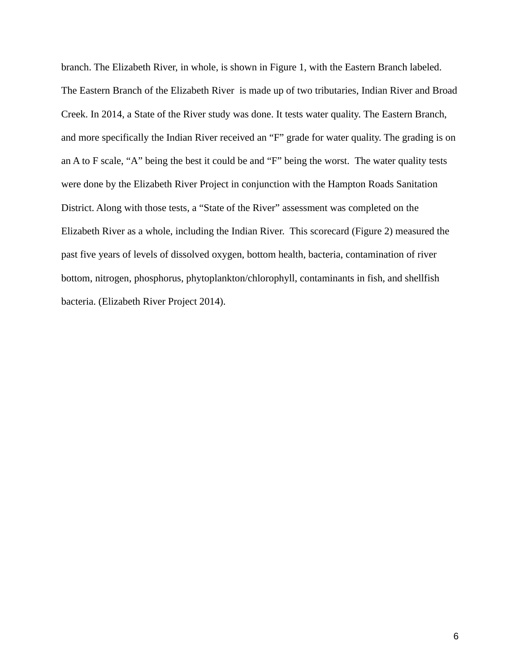branch. The Elizabeth River, in whole, is shown in Figure 1, with the Eastern Branch labeled. The Eastern Branch of the Elizabeth River is made up of two tributaries, Indian River and Broad Creek. In 2014, a State of the River study was done. It tests water quality. The Eastern Branch, and more specifically the Indian River received an "F" grade for water quality. The grading is on an A to F scale, "A" being the best it could be and "F" being the worst. The water quality tests were done by the Elizabeth River Project in conjunction with the Hampton Roads Sanitation District. Along with those tests, a "State of the River" assessment was completed on the Elizabeth River as a whole, including the Indian River. This scorecard (Figure 2) measured the past five years of levels of dissolved oxygen, bottom health, bacteria, contamination of river bottom, nitrogen, phosphorus, phytoplankton/chlorophyll, contaminants in fish, and shellfish bacteria. (Elizabeth River Project 2014).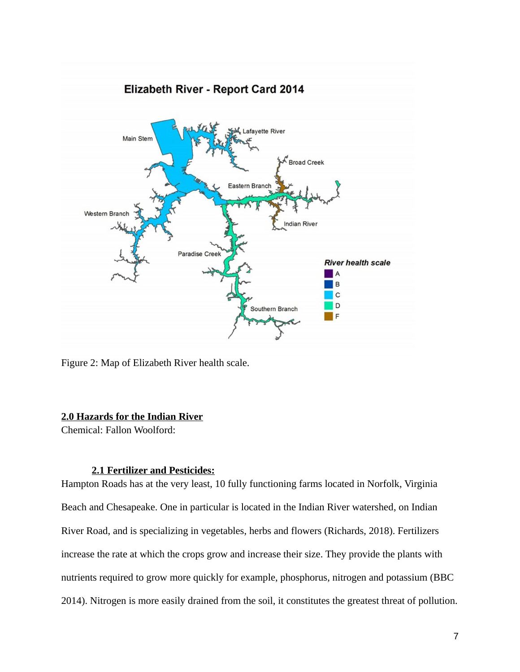

Figure 2: Map of Elizabeth River health scale.

# **2.0 Hazards for the Indian River**

Chemical: Fallon Woolford:

# **2.1Fertilizer and Pesticides:**

Hampton Roads has at the very least, 10 fully functioning farms located in Norfolk, Virginia Beach and Chesapeake. One in particular is located in the Indian River watershed, on Indian River Road, and is specializing in vegetables, herbs and flowers (Richards, 2018). Fertilizers increase the rate at which the crops grow and increase their size. They provide the plants with nutrients required to grow more quickly for example, phosphorus, nitrogen and potassium (BBC 2014). Nitrogen is more easily drained from the soil, it constitutes the greatest threat of pollution.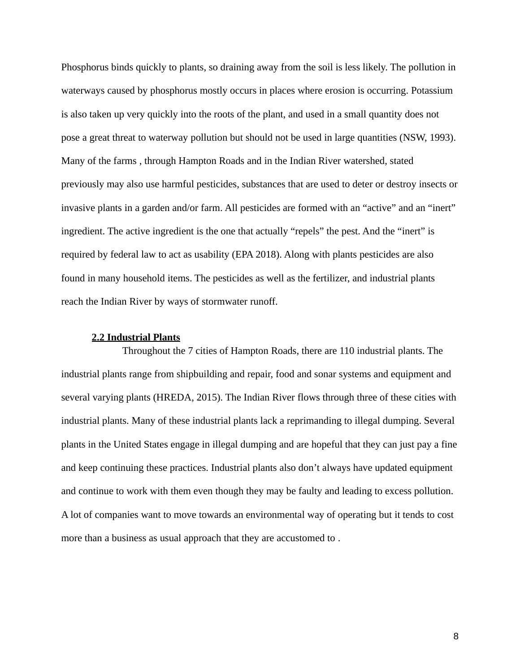Phosphorus binds quickly to plants, so draining away from the soil is less likely. The pollution in waterways caused by phosphorus mostly occurs in places where erosion is occurring. Potassium is also taken up very quickly into the roots of the plant, and used in a small quantity does not pose a great threat to waterway pollution but should not be used in large quantities (NSW, 1993). Many of the farms , through Hampton Roads and in the Indian River watershed, stated previously may also use harmful pesticides, substances that are used to deter or destroy insects or invasive plants in a garden and/or farm. All pesticides are formed with an "active" and an "inert" ingredient. The active ingredient is the one that actually "repels" the pest. And the "inert" is required by federal law to act as usability (EPA 2018). Along with plants pesticides are also found in many household items. The pesticides as well as the fertilizer, and industrial plants reach the Indian River by ways of stormwater runoff.

# **2.2Industrial Plants**

Throughout the 7 cities of Hampton Roads, there are 110 industrial plants. The industrial plants range from shipbuilding and repair, food and sonar systems and equipment and several varying plants (HREDA, 2015). The Indian River flows through three of these cities with industrial plants. Many of these industrial plants lack a reprimanding to illegal dumping. Several plants in the United States engage in illegal dumping and are hopeful that they can just pay a fine and keep continuing these practices. Industrial plants also don't always have updated equipment and continue to work with them even though they may be faulty and leading to excess pollution. A lot of companies want to move towards an environmental way of operating but it tends to cost more than a business as usual approach that they are accustomed to .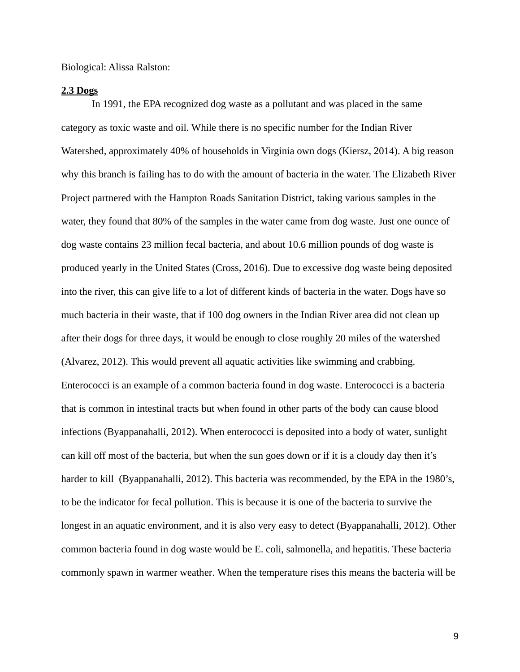Biological: Alissa Ralston:

#### **2.3 Dogs**

In 1991, the EPA recognized dog waste as a pollutant and was placed in the same category as toxic waste and oil. While there is no specific number for the Indian River Watershed, approximately 40% of households in Virginia own dogs (Kiersz, 2014). A big reason why this branch is failing has to do with the amount of bacteria in the water. The Elizabeth River Project partnered with the Hampton Roads Sanitation District, taking various samples in the water, they found that 80% of the samples in the water came from dog waste. Just one ounce of dog waste contains 23 million fecal bacteria, and about 10.6 million pounds of dog waste is produced yearly in the United States (Cross, 2016). Due to excessive dog waste being deposited into the river, this can give life to a lot of different kinds of bacteria in the water. Dogs have so much bacteria in their waste, that if 100 dog owners in the Indian River area did not clean up after their dogs for three days, it would be enough to close roughly 20 miles of the watershed (Alvarez, 2012). This would prevent all aquatic activities like swimming and crabbing. Enterococci is an example of a common bacteria found in dog waste. Enterococci is a bacteria that is common in intestinal tracts but when found in other parts of the body can cause blood infections (Byappanahalli, 2012). When enterococci is deposited into a body of water, sunlight can kill off most of the bacteria, but when the sun goes down or if it is a cloudy day then it's harder to kill (Byappanahalli, 2012). This bacteria was recommended, by the EPA in the 1980's, to be the indicator for fecal pollution. This is because it is one of the bacteria to survive the longest in an aquatic environment, and it is also very easy to detect (Byappanahalli, 2012). Other common bacteria found in dog waste would be E. coli, salmonella, and hepatitis. These bacteria commonly spawn in warmer weather. When the temperature rises this means the bacteria will be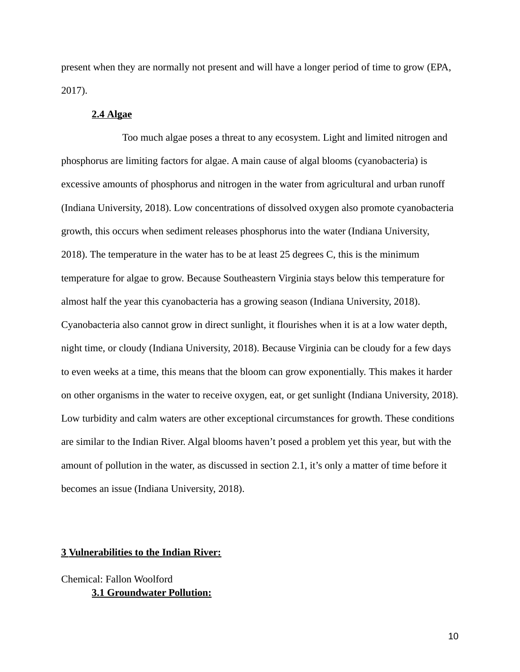present when they are normally not present and will have a longer period of time to grow (EPA, 2017).

## **2.4Algae**

Too much algae poses a threat to any ecosystem. Light and limited nitrogen and phosphorus are limiting factors for algae. A main cause of algal blooms (cyanobacteria) is excessive amounts of phosphorus and nitrogen in the water from agricultural and urban runoff (Indiana University, 2018). Low concentrations of dissolved oxygen also promote cyanobacteria growth, this occurs when sediment releases phosphorus into the water (Indiana University, 2018). The temperature in the water has to be at least 25 degrees C, this is the minimum temperature for algae to grow. Because Southeastern Virginia stays below this temperature for almost half the year this cyanobacteria has a growing season (Indiana University, 2018). Cyanobacteria also cannot grow in direct sunlight, it flourishes when it is at a low water depth, night time, or cloudy (Indiana University, 2018). Because Virginia can be cloudy for a few days to even weeks at a time, this means that the bloom can grow exponentially. This makes it harder on other organisms in the water to receive oxygen, eat, or get sunlight (Indiana University, 2018). Low turbidity and calm waters are other exceptional circumstances for growth. These conditions are similar to the Indian River. Algal blooms haven't posed a problem yet this year, but with the amount of pollution in the water, as discussed in section 2.1, it's only a matter of time before it becomes an issue (Indiana University, 2018).

# **3Vulnerabilities to the Indian River:**

Chemical: Fallon Woolford **3.1 Groundwater Pollution:**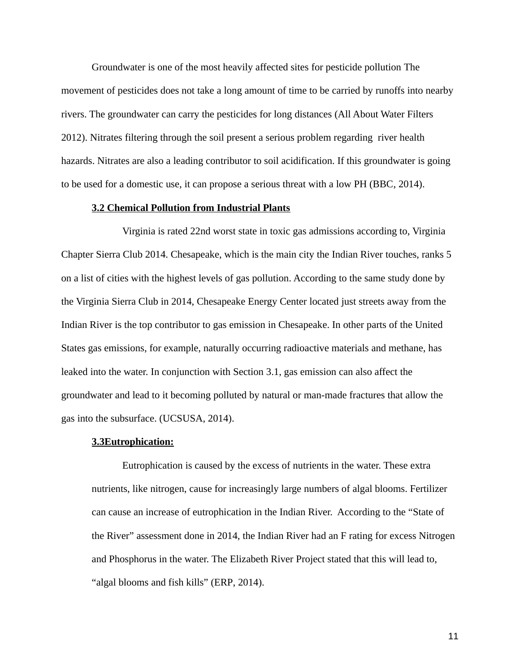Groundwater is one of the most heavily affected sites for pesticide pollution The movement of pesticides does not take a long amount of time to be carried by runoffs into nearby rivers. The groundwater can carry the pesticides for long distances (All About Water Filters 2012). Nitrates filtering through the soil present a serious problem regarding river health hazards. Nitrates are also a leading contributor to soil acidification. If this groundwater is going to be used for a domestic use, it can propose a serious threat with a low PH (BBC, 2014).

## **3.2 Chemical Pollution from Industrial Plants**

Virginia is rated 22nd worst state in toxic gas admissions according to, Virginia Chapter Sierra Club 2014. Chesapeake, which is the main city the Indian River touches, ranks 5 on a list of cities with the highest levels of gas pollution. According to the same study done by the Virginia Sierra Club in 2014, Chesapeake Energy Center located just streets away from the Indian River is the top contributor to gas emission in Chesapeake. In other parts of the United States gas emissions, for example, naturally occurring radioactive materials and methane, has leaked into the water. In conjunction with Section 3.1, gas emission can also affect the groundwater and lead to it becoming polluted by natural or man-made fractures that allow the gas into the subsurface. (UCSUSA, 2014).

## **3.3Eutrophication:**

Eutrophication is caused by the excess of nutrients in the water. These extra nutrients, like nitrogen, cause for increasingly large numbers of algal blooms. Fertilizer can cause an increase of eutrophication in the Indian River. According to the "State of the River" assessment done in 2014, the Indian River had an F rating for excess Nitrogen and Phosphorus in the water. The Elizabeth River Project stated that this will lead to, "algal blooms and fish kills" (ERP, 2014).

11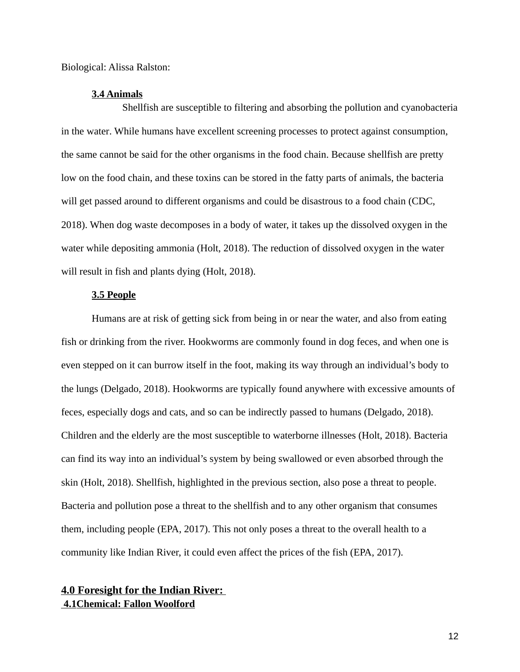Biological: Alissa Ralston:

#### **3.4 Animals**

Shellfish are susceptible to filtering and absorbing the pollution and cyanobacteria in the water. While humans have excellent screening processes to protect against consumption, the same cannot be said for the other organisms in the food chain. Because shellfish are pretty low on the food chain, and these toxins can be stored in the fatty parts of animals, the bacteria will get passed around to different organisms and could be disastrous to a food chain (CDC, 2018). When dog waste decomposes in a body of water, it takes up the dissolved oxygen in the water while depositing ammonia (Holt, 2018). The reduction of dissolved oxygen in the water will result in fish and plants dying (Holt, 2018).

# **3.5 People**

Humans are at risk of getting sick from being in or near the water, and also from eating fish or drinking from the river. Hookworms are commonly found in dog feces, and when one is even stepped on it can burrow itself in the foot, making its way through an individual's body to the lungs (Delgado, 2018). Hookworms are typically found anywhere with excessive amounts of feces, especially dogs and cats, and so can be indirectly passed to humans (Delgado, 2018). Children and the elderly are the most susceptible to waterborne illnesses (Holt, 2018). Bacteria can find its way into an individual's system by being swallowed or even absorbed through the skin (Holt, 2018). Shellfish, highlighted in the previous section, also pose a threat to people. Bacteria and pollution pose a threat to the shellfish and to any other organism that consumes them, including people (EPA, 2017). This not only poses a threat to the overall health to a community like Indian River, it could even affect the prices of the fish (EPA, 2017).

# **4.0 Foresight for the Indian River: 4.1Chemical: Fallon Woolford**

12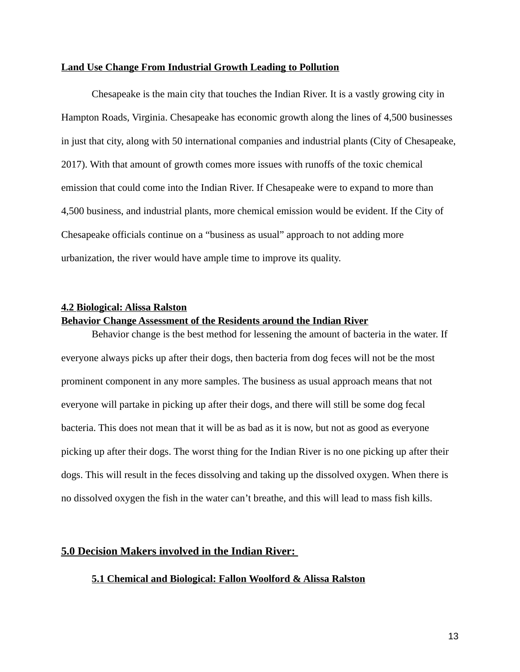### **Land Use Change From Industrial Growth Leading to Pollution**

Chesapeake is the main city that touches the Indian River. It is a vastly growing city in Hampton Roads, Virginia. Chesapeake has economic growth along the lines of 4,500 businesses in just that city, along with 50 international companies and industrial plants (City of Chesapeake, 2017). With that amount of growth comes more issues with runoffs of the toxic chemical emission that could come into the Indian River. If Chesapeake were to expand to more than 4,500 business, and industrial plants, more chemical emission would be evident. If the City of Chesapeake officials continue on a "business as usual" approach to not adding more urbanization, the river would have ample time to improve its quality.

#### **4.2Biological: Alissa Ralston**

## **Behavior Change Assessment of the Residents around the Indian River**

Behavior change is the best method for lessening the amount of bacteria in the water. If everyone always picks up after their dogs, then bacteria from dog feces will not be the most prominent component in any more samples. The business as usual approach means that not everyone will partake in picking up after their dogs, and there will still be some dog fecal bacteria. This does not mean that it will be as bad as it is now, but not as good as everyone picking up after their dogs. The worst thing for the Indian River is no one picking up after their dogs. This will result in the feces dissolving and taking up the dissolved oxygen. When there is no dissolved oxygen the fish in the water can't breathe, and this will lead to mass fish kills.

# **5.0 Decision Makers involved in the Indian River:**

# **5.1 Chemical and Biological: Fallon Woolford & Alissa Ralston**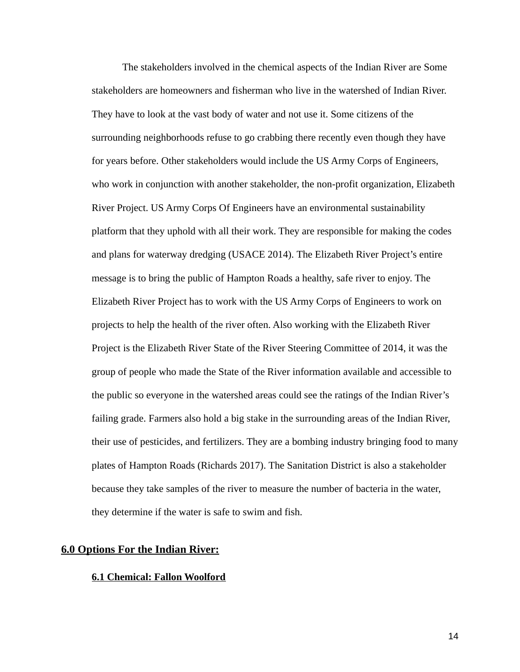The stakeholders involved in the chemical aspects of the Indian River are Some stakeholders are homeowners and fisherman who live in the watershed of Indian River. They have to look at the vast body of water and not use it. Some citizens of the surrounding neighborhoods refuse to go crabbing there recently even though they have for years before. Other stakeholders would include the US Army Corps of Engineers, who work in conjunction with another stakeholder, the non-profit organization, Elizabeth River Project. US Army Corps Of Engineers have an environmental sustainability platform that they uphold with all their work. They are responsible for making the codes and plans for waterway dredging (USACE 2014). The Elizabeth River Project's entire message is to bring the public of Hampton Roads a healthy, safe river to enjoy. The Elizabeth River Project has to work with the US Army Corps of Engineers to work on projects to help the health of the river often. Also working with the Elizabeth River Project is the Elizabeth River State of the River Steering Committee of 2014, it was the group of people who made the State of the River information available and accessible to the public so everyone in the watershed areas could see the ratings of the Indian River's failing grade. Farmers also hold a big stake in the surrounding areas of the Indian River, their use of pesticides, and fertilizers. They are a bombing industry bringing food to many plates of Hampton Roads (Richards 2017). The Sanitation District is also a stakeholder because they take samples of the river to measure the number of bacteria in the water, they determine if the water is safe to swim and fish.

## **6.0 Options For the Indian River:**

#### **6.1Chemical: Fallon Woolford**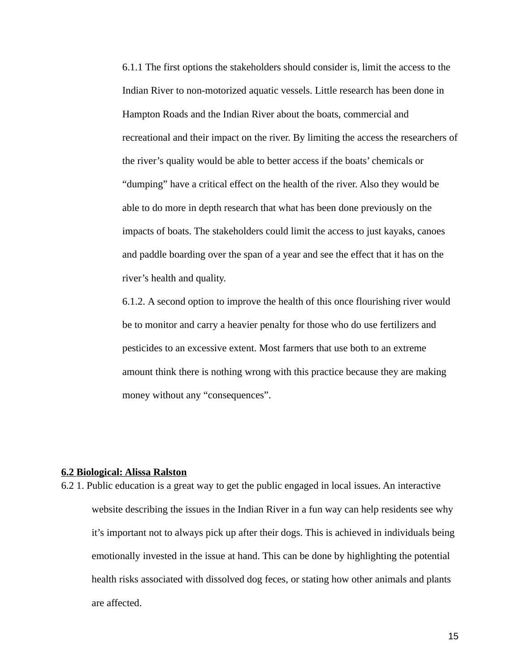6.1.1 The first options the stakeholders should consider is, limit the access to the Indian River to non-motorized aquatic vessels. Little research has been done in Hampton Roads and the Indian River about the boats, commercial and recreational and their impact on the river. By limiting the access the researchers of the river's quality would be able to better access if the boats' chemicals or "dumping" have a critical effect on the health of the river. Also they would be able to do more in depth research that what has been done previously on the impacts of boats. The stakeholders could limit the access to just kayaks, canoes and paddle boarding over the span of a year and see the effect that it has on the river's health and quality.

6.1.2. A second option to improve the health of this once flourishing river would be to monitor and carry a heavier penalty for those who do use fertilizers and pesticides to an excessive extent. Most farmers that use both to an extreme amount think there is nothing wrong with this practice because they are making money without any "consequences".

#### **6.2Biological: Alissa Ralston**

6.2 1. Public education is a great way to get the public engaged in local issues. An interactive website describing the issues in the Indian River in a fun way can help residents see why it's important not to always pick up after their dogs. This is achieved in individuals being emotionally invested in the issue at hand. This can be done by highlighting the potential health risks associated with dissolved dog feces, or stating how other animals and plants are affected.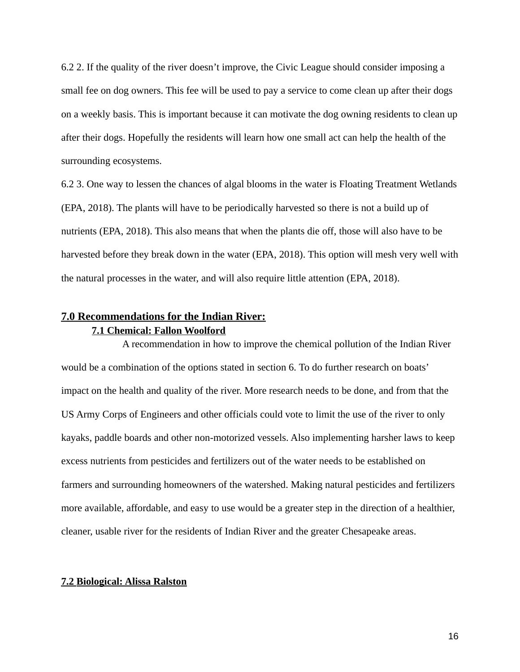6.2 2. If the quality of the river doesn't improve, the Civic League should consider imposing a small fee on dog owners. This fee will be used to pay a service to come clean up after their dogs on a weekly basis. This is important because it can motivate the dog owning residents to clean up after their dogs. Hopefully the residents will learn how one small act can help the health of the surrounding ecosystems.

6.2 3. One way to lessen the chances of algal blooms in the water is Floating Treatment Wetlands (EPA, 2018). The plants will have to be periodically harvested so there is not a build up of nutrients (EPA, 2018). This also means that when the plants die off, those will also have to be harvested before they break down in the water (EPA, 2018). This option will mesh very well with the natural processes in the water, and will also require little attention (EPA, 2018).

# **7.0Recommendations for the Indian River: 7.1Chemical: Fallon Woolford**

A recommendation in how to improve the chemical pollution of the Indian River would be a combination of the options stated in section 6. To do further research on boats' impact on the health and quality of the river. More research needs to be done, and from that the US Army Corps of Engineers and other officials could vote to limit the use of the river to only kayaks, paddle boards and other non-motorized vessels. Also implementing harsher laws to keep excess nutrients from pesticides and fertilizers out of the water needs to be established on farmers and surrounding homeowners of the watershed. Making natural pesticides and fertilizers more available, affordable, and easy to use would be a greater step in the direction of a healthier, cleaner, usable river for the residents of Indian River and the greater Chesapeake areas.

## **7.2Biological: Alissa Ralston**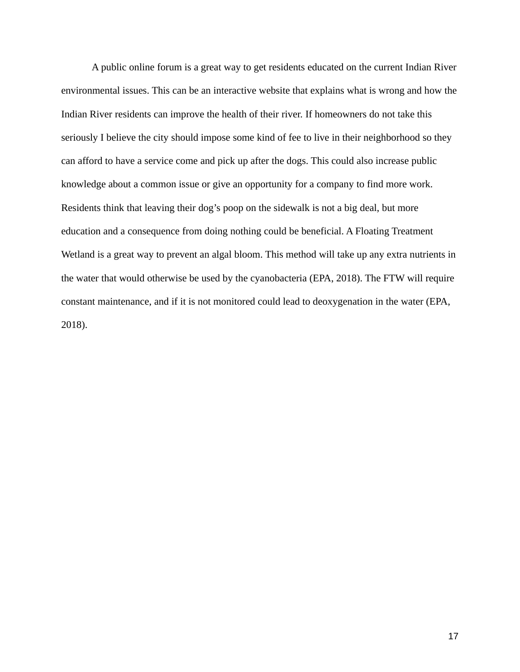A public online forum is a great way to get residents educated on the current Indian River environmental issues. This can be an interactive website that explains what is wrong and how the Indian River residents can improve the health of their river. If homeowners do not take this seriously I believe the city should impose some kind of fee to live in their neighborhood so they can afford to have a service come and pick up after the dogs. This could also increase public knowledge about a common issue or give an opportunity for a company to find more work. Residents think that leaving their dog's poop on the sidewalk is not a big deal, but more education and a consequence from doing nothing could be beneficial. A Floating Treatment Wetland is a great way to prevent an algal bloom. This method will take up any extra nutrients in the water that would otherwise be used by the cyanobacteria (EPA, 2018). The FTW will require constant maintenance, and if it is not monitored could lead to deoxygenation in the water (EPA, 2018).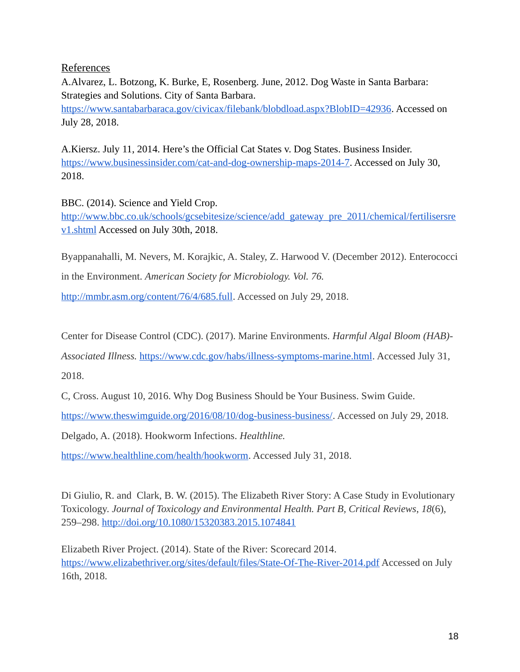# References

A.Alvarez, L. Botzong, K. Burke, E, Rosenberg. June, 2012. Dog Waste in Santa Barbara: Strategies and Solutions. City of Santa Barbara. [https://www.santabarbaraca.gov/civicax/filebank/blobdload.aspx?BlobID=42936.](https://www.santabarbaraca.gov/civicax/filebank/blobdload.aspx?BlobID=42936) Accessed on July 28, 2018.

A.Kiersz. July 11, 2014. Here's the Official Cat States v. Dog States. Business Insider. [https://www.businessinsider.com/cat-and-dog-ownership-maps-2014-7.](https://www.businessinsider.com/cat-and-dog-ownership-maps-2014-7) Accessed on July 30, 2018.

BBC. (2014). Science and Yield Crop. [http://www.bbc.co.uk/schools/gcsebitesize/science/add\\_gateway\\_pre\\_2011/chemical/fertilisersre](http://www.bbc.co.uk/schools/gcsebitesize/science/add_gateway_pre_2011/chemical/fertilisersrev1.shtml) [v1.shtml](http://www.bbc.co.uk/schools/gcsebitesize/science/add_gateway_pre_2011/chemical/fertilisersrev1.shtml) Accessed on July 30th, 2018.

Byappanahalli, M. Nevers, M. Korajkic, A. Staley, Z. Harwood V. (December 2012). Enterococci in the Environment. *American Society for Microbiology. Vol. 76.*

[http://mmbr.asm.org/content/76/4/685.full.](http://mmbr.asm.org/content/76/4/685.full) Accessed on July 29, 2018.

Center for Disease Control (CDC). (2017). Marine Environments. *Harmful Algal Bloom (HAB)-* 

*Associated Illness.* [https://www.cdc.gov/habs/illness-symptoms-marine.html.](https://www.cdc.gov/habs/illness-symptoms-marine.html) Accessed July 31,

2018.

C, Cross. August 10, 2016. Why Dog Business Should be Your Business. Swim Guide.

[https://www.theswimguide.org/2016/08/10/dog-business-business/.](https://www.theswimguide.org/2016/08/10/dog-business-business/) Accessed on July 29, 2018.

Delgado, A. (2018). Hookworm Infections. *Healthline.*

[https://www.healthline.com/health/hookworm.](https://www.healthline.com/health/hookworm) Accessed July 31, 2018.

Di Giulio, R. and Clark, B. W. (2015). The Elizabeth River Story: A Case Study in Evolutionary Toxicology. *Journal of Toxicology and Environmental Health. Part B, Critical Reviews*, *18*(6), 259–298.<http://doi.org/10.1080/15320383.2015.1074841>

Elizabeth River Project. (2014). State of the River: Scorecard 2014. <https://www.elizabethriver.org/sites/default/files/State-Of-The-River-2014.pdf>Accessed on July 16th, 2018.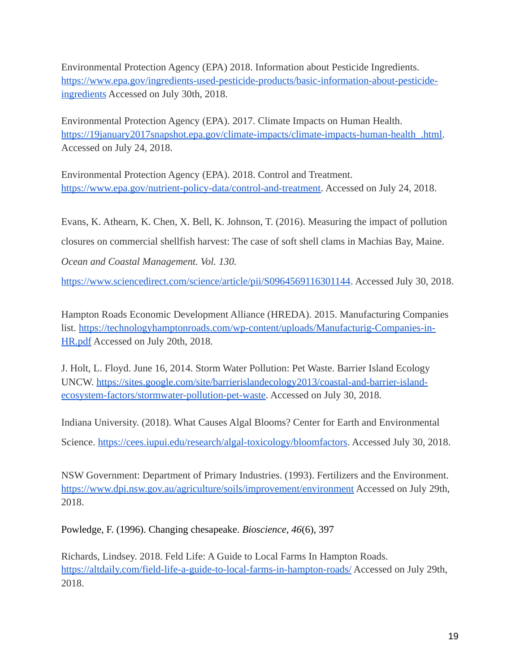Environmental Protection Agency (EPA) 2018. Information about Pesticide Ingredients. [https://www.epa.gov/ingredients-used-pesticide-products/basic-information-about-pesticide](https://www.epa.gov/ingredients-used-pesticide-products/basic-information-about-pesticide-ingredients)[ingredients](https://www.epa.gov/ingredients-used-pesticide-products/basic-information-about-pesticide-ingredients) Accessed on July 30th, 2018.

Environmental Protection Agency (EPA). 2017. Climate Impacts on Human Health. [https://19january2017snapshot.epa.gov/climate-impacts/climate-impacts-human-health\\_.html.](https://19january2017snapshot.epa.gov/climate-impacts/climate-impacts-human-health_.html) Accessed on July 24, 2018.

Environmental Protection Agency (EPA). 2018. Control and Treatment. [https://www.epa.gov/nutrient-policy-data/control-and-treatment.](https://www.epa.gov/nutrient-policy-data/control-and-treatment) Accessed on July 24, 2018.

Evans, K. Athearn, K. Chen, X. Bell, K. Johnson, T. (2016). Measuring the impact of pollution closures on commercial shellfish harvest: The case of soft shell clams in Machias Bay, Maine. *Ocean and Coastal Management. Vol. 130.* 

[https://www.sciencedirect.com/science/article/pii/S0964569116301144.](https://www.sciencedirect.com/science/article/pii/S0964569116301144) Accessed July 30, 2018.

Hampton Roads Economic Development Alliance (HREDA). 2015. Manufacturing Companies list. [https://technologyhamptonroads.com/wp-content/uploads/Manufacturig-Companies-in-](https://technologyhamptonroads.com/wp-content/uploads/Manufacturig-Companies-in-HR.pdf)[HR.pdf](https://technologyhamptonroads.com/wp-content/uploads/Manufacturig-Companies-in-HR.pdf) Accessed on July 20th, 2018.

J. Holt, L. Floyd. June 16, 2014. Storm Water Pollution: Pet Waste. Barrier Island Ecology UNCW. [https://sites.google.com/site/barrierislandecology2013/coastal-and-barrier-island](https://sites.google.com/site/barrierislandecology2013/coastal-and-barrier-island-ecosystem-factors/stormwater-pollution-pet-waste)[ecosystem-factors/stormwater-pollution-pet-waste.](https://sites.google.com/site/barrierislandecology2013/coastal-and-barrier-island-ecosystem-factors/stormwater-pollution-pet-waste) Accessed on July 30, 2018.

Indiana University. (2018). What Causes Algal Blooms? Center for Earth and Environmental Science. [https://cees.iupui.edu/research/algal-toxicology/bloomfactors.](https://cees.iupui.edu/research/algal-toxicology/bloomfactors) Accessed July 30, 2018.

NSW Government: Department of Primary Industries. (1993). Fertilizers and the Environment. <https://www.dpi.nsw.gov.au/agriculture/soils/improvement/environment>Accessed on July 29th, 2018.

Powledge, F. (1996). Changing chesapeake. *Bioscience, 46*(6), 397

Richards, Lindsey. 2018. Feld Life: A Guide to Local Farms In Hampton Roads. <https://altdaily.com/field-life-a-guide-to-local-farms-in-hampton-roads/>Accessed on July 29th, 2018.